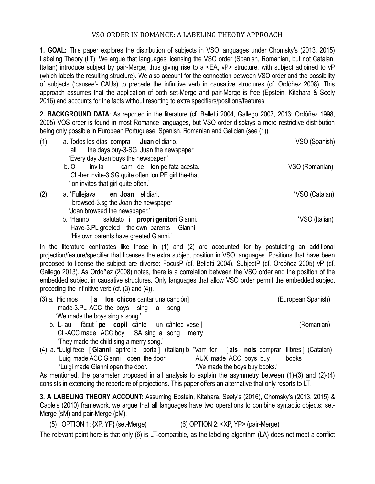## VSO ORDER IN ROMANCE: A LABELING THEORY APPROACH

**1. GOAL:** This paper explores the distribution of subjects in VSO languages under Chomsky's (2013, 2015) Labeling Theory (LT). We argue that languages licensing the VSO order (Spanish, Romanian, but not Catalan, Italian) introduce subject by pair-Merge, thus giving rise to a <EA, vP> structure, with subject adjoined to vP (which labels the resulting structure). We also account for the connection between VSO order and the possibility of subjects ('causee'- CAUs) to precede the infinitive verb in causative structures (cf. Ordóñez 2008). This approach assumes that the application of both set-Merge and pair-Merge is free (Epstein, Kitahara & Seely 2016) and accounts for the facts without resorting to extra specifiers/positions/features.

**2. BACKGROUND DATA**: As reported in the literature (cf. Belletti 2004, Gallego 2007, 2013; Ordóñez 1998, 2005) VOS order is found in most Romance languages, but VSO order displays a more restrictive distribution being only possible in European Portuguese, Spanish, Romanian and Galician (see (1)).

| (1) | a. Todos los días compra <b>Juan</b> el diario.<br>the days buy-3-SG Juan the newspaper<br>all<br>'Every day Juan buys the newspaper.'   | VSO (Spanish)  |
|-----|------------------------------------------------------------------------------------------------------------------------------------------|----------------|
|     | invita cam de lon pe fata acesta.<br>b. O<br>CL-her invite-3.SG quite often Ion PE girl the-that<br>'Ion invites that girl quite often.' | VSO (Romanian) |
| (2) | a. *Fullejava en Joan el diari.<br>browsed-3.sg the Joan the newspaper<br>'Joan browsed the newspaper.'                                  | *VSO (Catalan) |
|     | salutato i propri genitori Gianni.<br>b. *Hanno<br>Have-3.PL greeted the own parents Gianni<br>'His own parents have greeted Gianni.'    | *VSO (Italian) |

In the literature contrastes like those in (1) and (2) are accounted for by postulating an additional projection/feature/specifier that licenses the extra subject position in VSO languages. Positions that have been proposed to license the subject are diverse: FocusP (cf. Belletti 2004), SubjectP (cf. Ordóñez 2005) vP (cf. Gallego 2013). As Ordóñez (2008) notes, there is a correlation between the VSO order and the position of the embedded subject in causative structures. Only languages that allow VSO order permit the embedded subject preceding the infinitive verb (cf. (3) and (4)).

- (3) a. Hicimos [ **a los chicos** cantar una canción] (European Spanish) made-3.PL ACC the boys sing a song 'We made the boys sing a song.' b. L- au făcut [ **pe copil** cânte un cântec vese ] (Romanian)
	- CL-ACC made ACC boy SA sing a song merry 'They made the child sing a merry song.'
- (4) a. \*Luigi fece [ **Gianni** aprire la porta ] (Italian) b. \*Vam fer [ **als nois** comprar llibres ] (Catalan) Luigi made ACC Gianni open the door AUX made ACC boys buy books 'Luigi made Gianni open the door.' 'We made the boys buy books.'

As mentioned, the parameter proposed in all analysis to explain the asymmetry between (1)-(3) and (2)-(4) consists in extending the repertoire of projections. This paper offers an alternative that only resorts to LT.

**3. A LABELING THEORY ACCOUNT:** Assuming Epstein, Kitahara, Seely's (2016), Chomsky's (2013, 2015) & Cable's (2010) framework, we argue that all languages have two operations to combine syntactic objects: set-Merge (sM) and pair-Merge (pM).

(5) OPTION 1: {XP, YP} (set-Merge) (6) OPTION 2: <XP, YP> (pair-Merge)

The relevant point here is that only (6) is LT-compatible, as the labeling algorithm (LA) does not meet a conflict